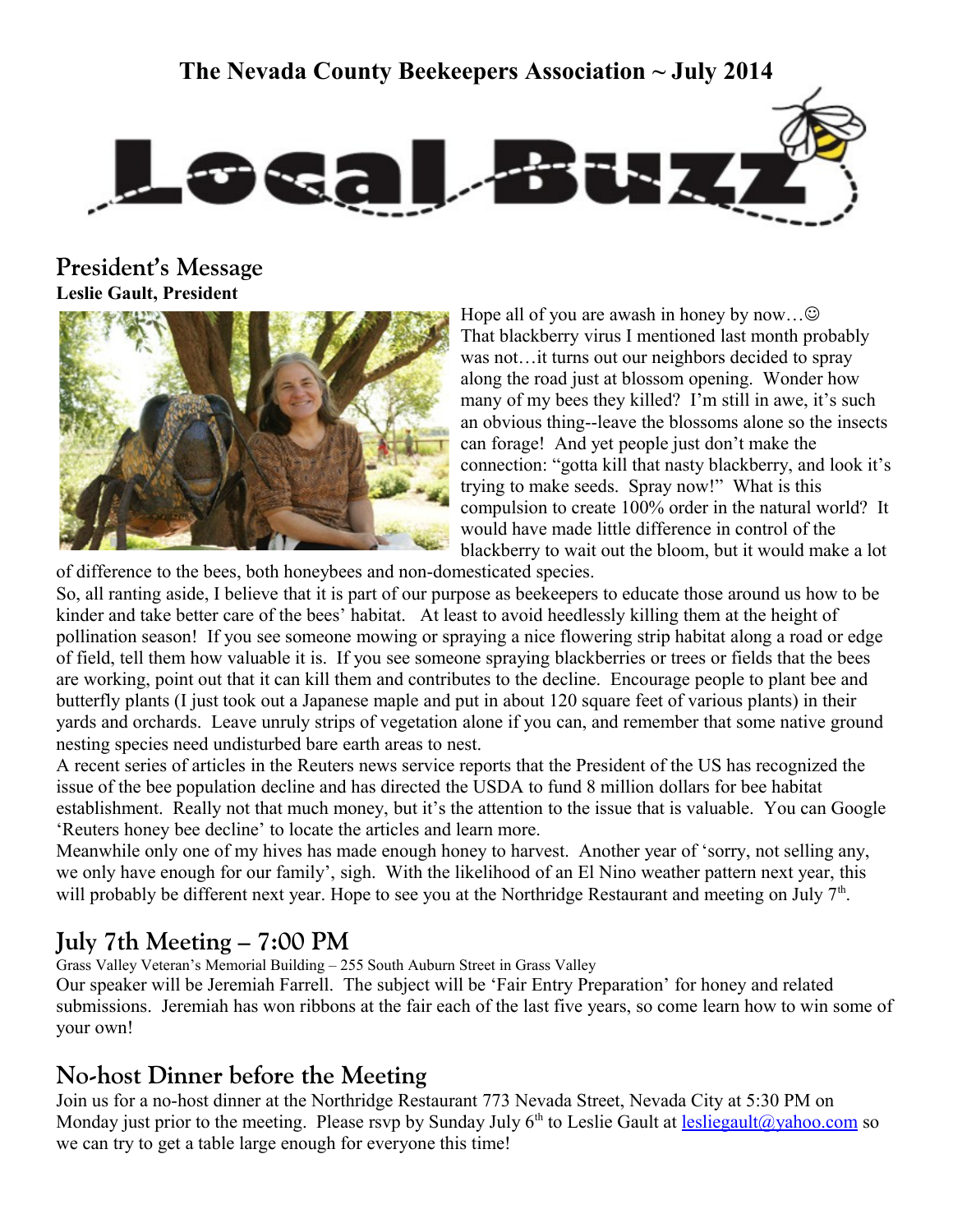## **The Nevada County Beekeepers Association ~ July 2014**



**President's Message Leslie Gault, President**



Hope all of you are awash in honey by now... $\odot$ That blackberry virus I mentioned last month probably was not…it turns out our neighbors decided to spray along the road just at blossom opening. Wonder how many of my bees they killed? I'm still in awe, it's such an obvious thing--leave the blossoms alone so the insects can forage! And yet people just don't make the connection: "gotta kill that nasty blackberry, and look it's trying to make seeds. Spray now!" What is this compulsion to create 100% order in the natural world? It would have made little difference in control of the blackberry to wait out the bloom, but it would make a lot

of difference to the bees, both honeybees and non-domesticated species. So, all ranting aside, I believe that it is part of our purpose as beekeepers to educate those around us how to be kinder and take better care of the bees' habitat. At least to avoid heedlessly killing them at the height of pollination season! If you see someone mowing or spraying a nice flowering strip habitat along a road or edge of field, tell them how valuable it is. If you see someone spraying blackberries or trees or fields that the bees are working, point out that it can kill them and contributes to the decline. Encourage people to plant bee and butterfly plants (I just took out a Japanese maple and put in about 120 square feet of various plants) in their yards and orchards. Leave unruly strips of vegetation alone if you can, and remember that some native ground nesting species need undisturbed bare earth areas to nest.

A recent series of articles in the Reuters news service reports that the President of the US has recognized the issue of the bee population decline and has directed the USDA to fund 8 million dollars for bee habitat establishment. Really not that much money, but it's the attention to the issue that is valuable. You can Google 'Reuters honey bee decline' to locate the articles and learn more.

Meanwhile only one of my hives has made enough honey to harvest. Another year of 'sorry, not selling any, we only have enough for our family', sigh. With the likelihood of an El Nino weather pattern next year, this will probably be different next year. Hope to see you at the Northridge Restaurant and meeting on July  $7<sup>th</sup>$ .

## **July 7th Meeting – 7:00 PM**

Grass Valley Veteran's Memorial Building – 255 South Auburn Street in Grass Valley

Our speaker will be Jeremiah Farrell. The subject will be 'Fair Entry Preparation' for honey and related submissions. Jeremiah has won ribbons at the fair each of the last five years, so come learn how to win some of your own!

## **No-host Dinner before the Meeting**

Join us for a no-host dinner at the Northridge Restaurant 773 Nevada Street, Nevada City at 5:30 PM on Monday just prior to the meeting. Please rsvp by Sunday July  $6<sup>th</sup>$  to Leslie Gault at [lesliegault@yahoo.com](mailto:lesliegault@yahoo.com) so we can try to get a table large enough for everyone this time!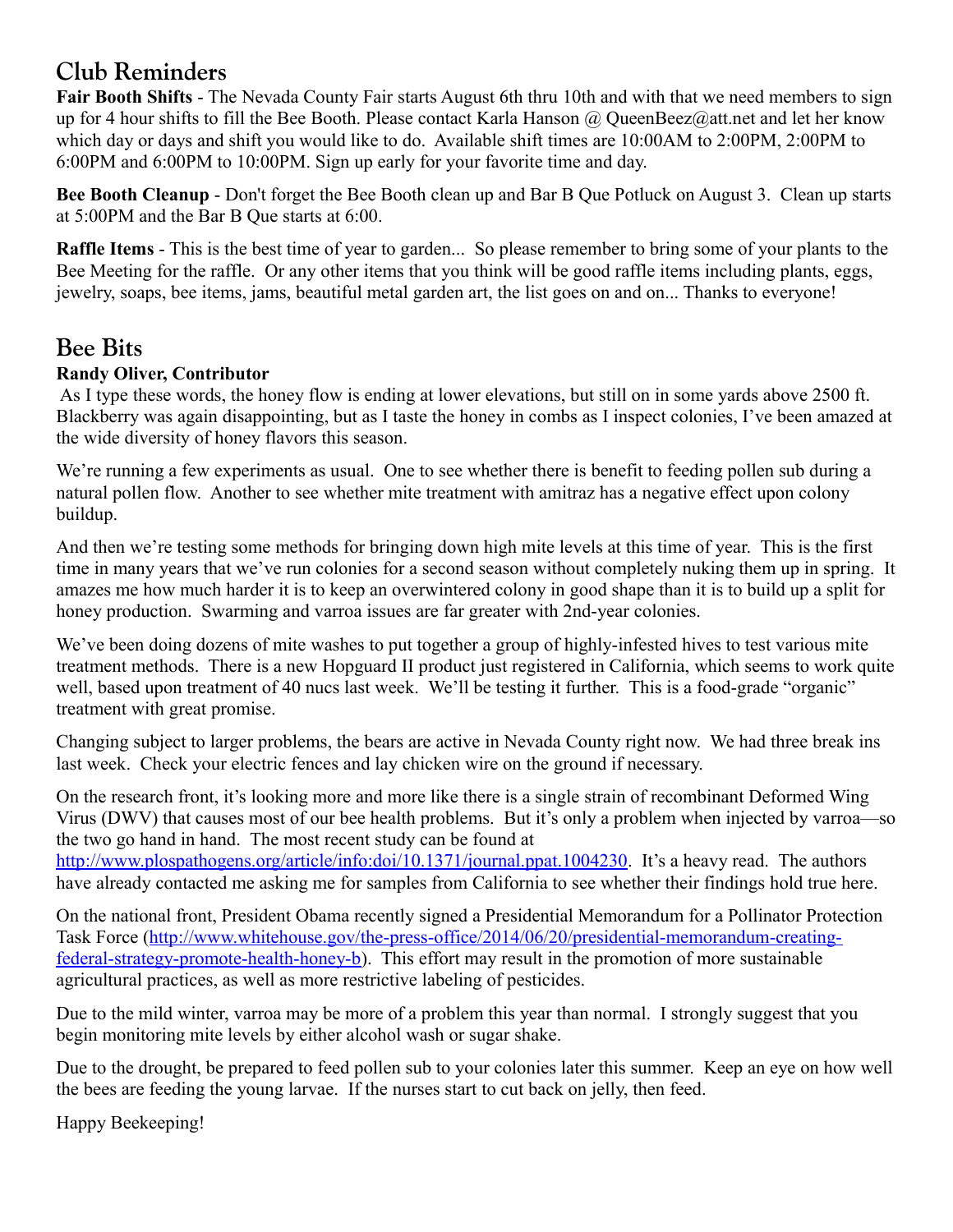# **Club Reminders**

**Fair Booth Shifts** - The Nevada County Fair starts August 6th thru 10th and with that we need members to sign up for 4 hour shifts to fill the Bee Booth. Please contact Karla Hanson  $\omega$  QueenBeez $\omega$ att.net and let her know which day or days and shift you would like to do. Available shift times are 10:00AM to 2:00PM, 2:00PM to 6:00PM and 6:00PM to 10:00PM. Sign up early for your favorite time and day.

**Bee Booth Cleanup** - Don't forget the Bee Booth clean up and Bar B Que Potluck on August 3. Clean up starts at 5:00PM and the Bar B Que starts at 6:00.

**Raffle Items** - This is the best time of year to garden... So please remember to bring some of your plants to the Bee Meeting for the raffle. Or any other items that you think will be good raffle items including plants, eggs, jewelry, soaps, bee items, jams, beautiful metal garden art, the list goes on and on... Thanks to everyone!

## **Bee Bits**

### **Randy Oliver, Contributor**

 As I type these words, the honey flow is ending at lower elevations, but still on in some yards above 2500 ft. Blackberry was again disappointing, but as I taste the honey in combs as I inspect colonies, I've been amazed at the wide diversity of honey flavors this season.

We're running a few experiments as usual. One to see whether there is benefit to feeding pollen sub during a natural pollen flow. Another to see whether mite treatment with amitraz has a negative effect upon colony buildup.

And then we're testing some methods for bringing down high mite levels at this time of year. This is the first time in many years that we've run colonies for a second season without completely nuking them up in spring. It amazes me how much harder it is to keep an overwintered colony in good shape than it is to build up a split for honey production. Swarming and varroa issues are far greater with 2nd-year colonies.

We've been doing dozens of mite washes to put together a group of highly-infested hives to test various mite treatment methods. There is a new Hopguard II product just registered in California, which seems to work quite well, based upon treatment of 40 nucs last week. We'll be testing it further. This is a food-grade "organic" treatment with great promise.

Changing subject to larger problems, the bears are active in Nevada County right now. We had three break ins last week. Check your electric fences and lay chicken wire on the ground if necessary.

On the research front, it's looking more and more like there is a single strain of recombinant Deformed Wing Virus (DWV) that causes most of our bee health problems. But it's only a problem when injected by varroa—so the two go hand in hand. The most recent study can be found at

[http://www.plospathogens.org/article/info:doi/10.1371/journal.ppat.1004230.](http://www.plospathogens.org/article/info:doi/10.1371/journal.ppat.1004230) It's a heavy read. The authors have already contacted me asking me for samples from California to see whether their findings hold true here.

On the national front, President Obama recently signed a Presidential Memorandum for a Pollinator Protection Task Force [\(http://www.whitehouse.gov/the-press-office/2014/06/20/presidential-memorandum-creating](http://www.whitehouse.gov/the-press-office/2014/06/20/presidential-memorandum-creating-federal-strategy-promote-health-honey-b)[federal-strategy-promote-health-honey-b\)](http://www.whitehouse.gov/the-press-office/2014/06/20/presidential-memorandum-creating-federal-strategy-promote-health-honey-b). This effort may result in the promotion of more sustainable agricultural practices, as well as more restrictive labeling of pesticides.

Due to the mild winter, varroa may be more of a problem this year than normal. I strongly suggest that you begin monitoring mite levels by either alcohol wash or sugar shake.

Due to the drought, be prepared to feed pollen sub to your colonies later this summer. Keep an eye on how well the bees are feeding the young larvae. If the nurses start to cut back on jelly, then feed.

Happy Beekeeping!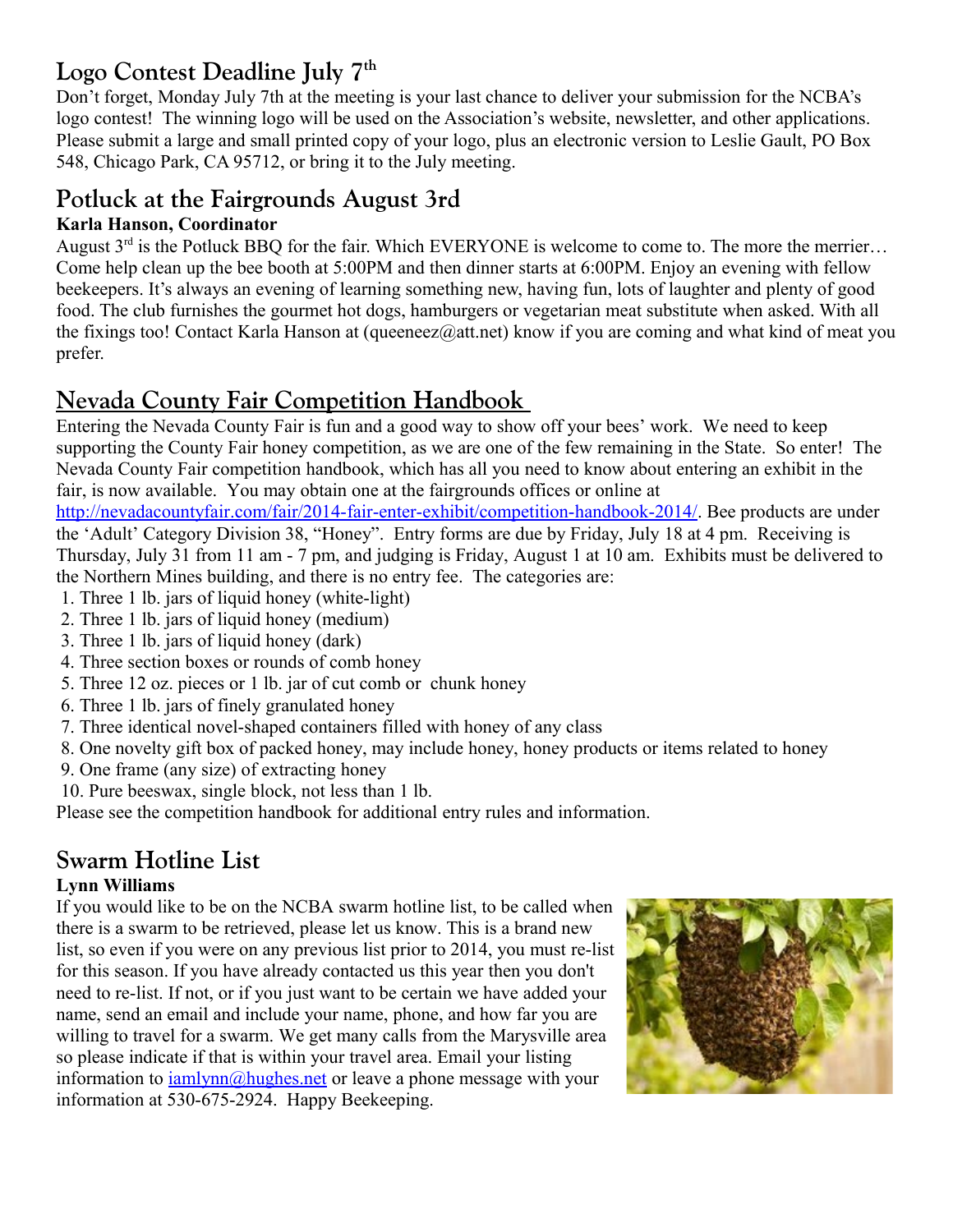# **Logo Contest Deadline July 7th**

Don't forget, Monday July 7th at the meeting is your last chance to deliver your submission for the NCBA's logo contest! The winning logo will be used on the Association's website, newsletter, and other applications. Please submit a large and small printed copy of your logo, plus an electronic version to Leslie Gault, PO Box 548, Chicago Park, CA 95712, or bring it to the July meeting.

## **Potluck at the Fairgrounds August 3rd**

## **Karla Hanson, Coordinator**

August  $3<sup>rd</sup>$  is the Potluck BBQ for the fair. Which EVERYONE is welcome to come to. The more the merrier... Come help clean up the bee booth at 5:00PM and then dinner starts at 6:00PM. Enjoy an evening with fellow beekeepers. It's always an evening of learning something new, having fun, lots of laughter and plenty of good food. The club furnishes the gourmet hot dogs, hamburgers or vegetarian meat substitute when asked. With all the fixings too! Contact Karla Hanson at (queeneez $@at.$ net) know if you are coming and what kind of meat you prefer.

# **Nevada County Fair Competition Handbook**

Entering the Nevada County Fair is fun and a good way to show off your bees' work. We need to keep supporting the County Fair honey competition, as we are one of the few remaining in the State. So enter! The Nevada County Fair competition handbook, which has all you need to know about entering an exhibit in the fair, is now available. You may obtain one at the fairgrounds offices or online at

[http://nevadacountyfair.com/fair/2014-fair-enter-exhibit/competition-handbook-2014/.](http://nevadacountyfair.com/fair/2014-fair-enter-exhibit/competition-handbook-2014/) Bee products are under the 'Adult' Category Division 38, "Honey". Entry forms are due by Friday, July 18 at 4 pm. Receiving is Thursday, July 31 from 11 am - 7 pm, and judging is Friday, August 1 at 10 am. Exhibits must be delivered to the Northern Mines building, and there is no entry fee. The categories are:

- 1. Three 1 lb. jars of liquid honey (white-light)
- 2. Three 1 lb. jars of liquid honey (medium)
- 3. Three 1 lb. jars of liquid honey (dark)
- 4. Three section boxes or rounds of comb honey
- 5. Three 12 oz. pieces or 1 lb. jar of cut comb or chunk honey
- 6. Three 1 lb. jars of finely granulated honey
- 7. Three identical novel-shaped containers filled with honey of any class
- 8. One novelty gift box of packed honey, may include honey, honey products or items related to honey
- 9. One frame (any size) of extracting honey
- 10. Pure beeswax, single block, not less than 1 lb.

Please see the competition handbook for additional entry rules and information.

# **Swarm Hotline List**

### **Lynn Williams**

If you would like to be on the NCBA swarm hotline list, to be called when there is a swarm to be retrieved, please let us know. This is a brand new list, so even if you were on any previous list prior to 2014, you must re-list for this season. If you have already contacted us this year then you don't need to re-list. If not, or if you just want to be certain we have added your name, send an email and include your name, phone, and how far you are willing to travel for a swarm. We get many calls from the Marysville area so please indicate if that is within your travel area. Email your listing information to  $\frac{i \text{amlynn}}{\text{mlynn}}$  hughes net or leave a phone message with your information at 530-675-2924. Happy Beekeeping.

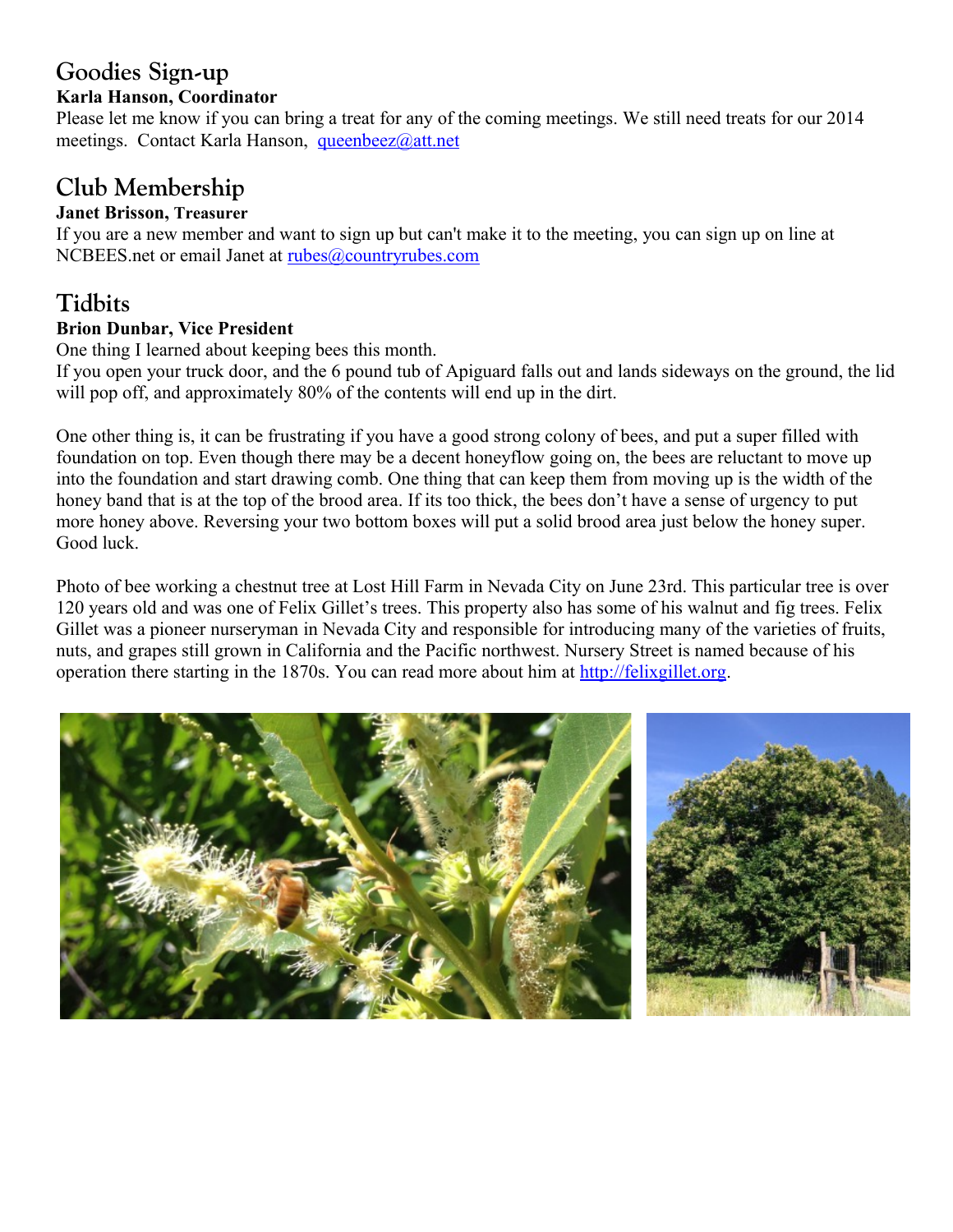# **Goodies Sign-up**

#### **Karla Hanson, Coordinator**

Please let me know if you can bring a treat for any of the coming meetings. We still need treats for our 2014 meetings. Contact Karla Hanson, [queenbeez@att.net](mailto:queenbeez@att.net)

## **Club Membership**

#### **Janet Brisson, Treasurer**

If you are a new member and want to sign up but can't make it to the meeting, you can sign up on line at NCBEES.net or email Janet at [rubes@countryrubes.com](mailto:rubes@countryrubes.com)

# **Tidbits**

#### **Brion Dunbar, Vice President**

One thing I learned about keeping bees this month.

If you open your truck door, and the 6 pound tub of Apiguard falls out and lands sideways on the ground, the lid will pop off, and approximately 80% of the contents will end up in the dirt.

One other thing is, it can be frustrating if you have a good strong colony of bees, and put a super filled with foundation on top. Even though there may be a decent honeyflow going on, the bees are reluctant to move up into the foundation and start drawing comb. One thing that can keep them from moving up is the width of the honey band that is at the top of the brood area. If its too thick, the bees don't have a sense of urgency to put more honey above. Reversing your two bottom boxes will put a solid brood area just below the honey super. Good luck.

Photo of bee working a chestnut tree at Lost Hill Farm in Nevada City on June 23rd. This particular tree is over 120 years old and was one of Felix Gillet's trees. This property also has some of his walnut and fig trees. Felix Gillet was a pioneer nurseryman in Nevada City and responsible for introducing many of the varieties of fruits, nuts, and grapes still grown in California and the Pacific northwest. Nursery Street is named because of his operation there starting in the 1870s. You can read more about him at [http://felixgillet.org.](http://felixgillet.org/)

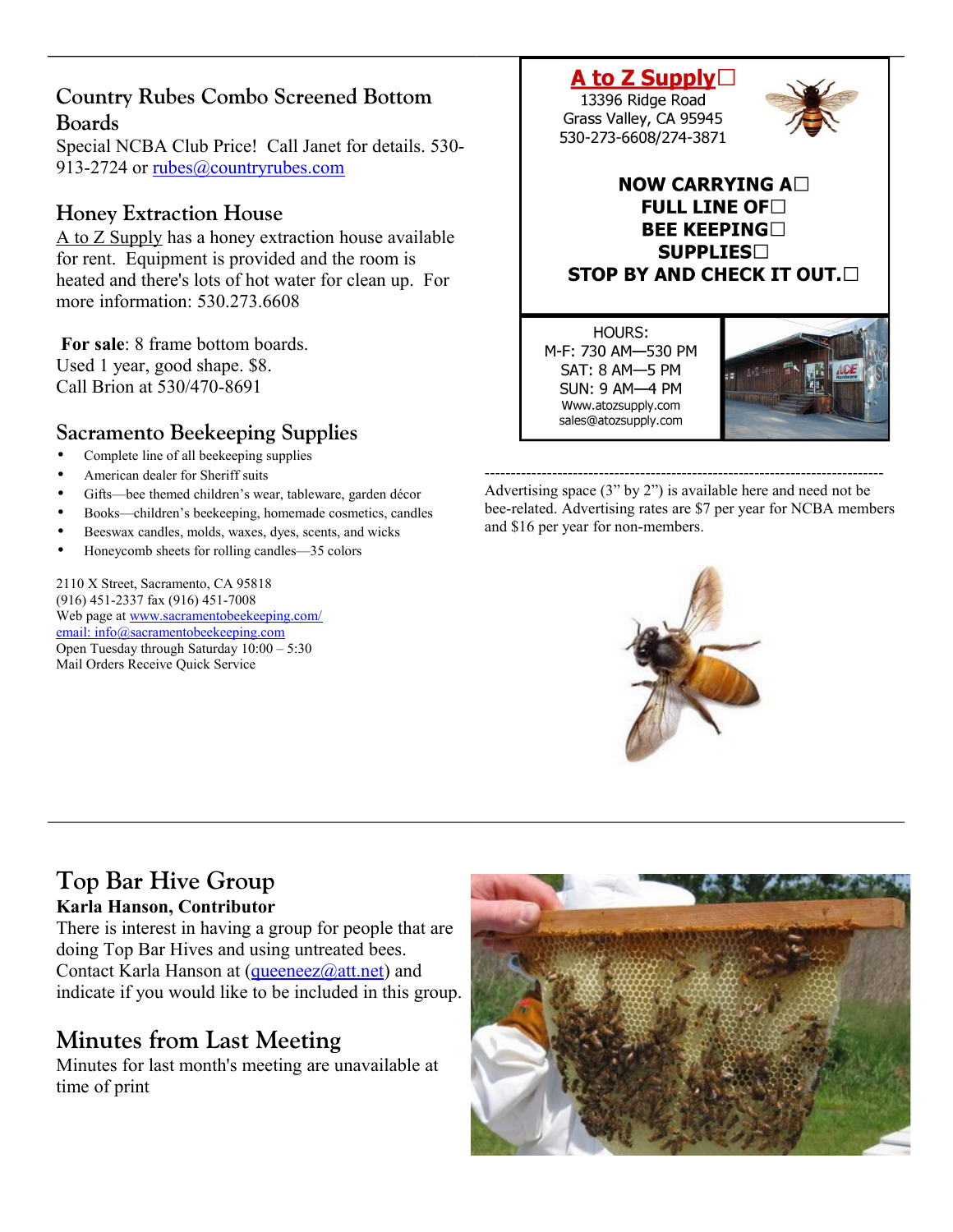## **Country Rubes Combo Screened Bottom Boards**

Special NCBA Club Price! Call Janet for details. 530 913-2724 or [rubes@countryrubes.com](mailto:rubes@countryrubes.com)

## **Honey Extraction House**

A to Z Supply has a honey extraction house available for rent. Equipment is provided and the room is heated and there's lots of hot water for clean up. For more information: 530.273.6608

**For sale**: 8 frame bottom boards. Used 1 year, good shape. \$8. Call Brion at 530/470-8691

## **Sacramento Beekeeping Supplies**

- Complete line of all beekeeping supplies
- American dealer for Sheriff suits
- Gifts-bee themed children's wear, tableware, garden décor
- Books—children's beekeeping, homemade cosmetics, candles
- Beeswax candles, molds, waxes, dyes, scents, and wicks
- Honeycomb sheets for rolling candles—35 colors

2110 X Street, Sacramento, CA 95818 (916) 451-2337 fax (916) 451-7008 Web page at [www.sacramentobeekeeping.com/](http://www.sacramentobeekeeping.com/) email: inf[o@sacramentobeekeeping.com](mailto:%20info@sacramentobeekeeping.com) Open Tuesday through Saturday 10:00 – 5:30 Mail Orders Receive Quick Service

A to Z Supply $\Box$ 13396 Ridge Road

Grass Valley, CA 95945 530-273-6608/274-3871



#### NOW CARRYING A $\square$ FULL LINE OF  $\Box$ **BEE KEEPING SUPPLIES STOP BY AND CHECK IT OUT.**

HOURS: M-F: 730 AM-530 PM SAT: 8 AM-5 PM **SUN: 9 AM-4 PM** Www.atozsupply.com sales@atozsupply.com



----------------------------------------------------------------------------- Advertising space (3" by 2") is available here and need not be bee-related. Advertising rates are \$7 per year for NCBA members and \$16 per year for non-members.



### **Top Bar Hive Group Karla Hanson, Contributor**

There is interest in having a group for people that are doing Top Bar Hives and using untreated bees. Contact Karla Hanson at [\(queeneez@att.net\)](mailto:queeneez@att.net) and indicate if you would like to be included in this group.

## **Minutes from Last Meeting**

Minutes for last month's meeting are unavailable at time of print

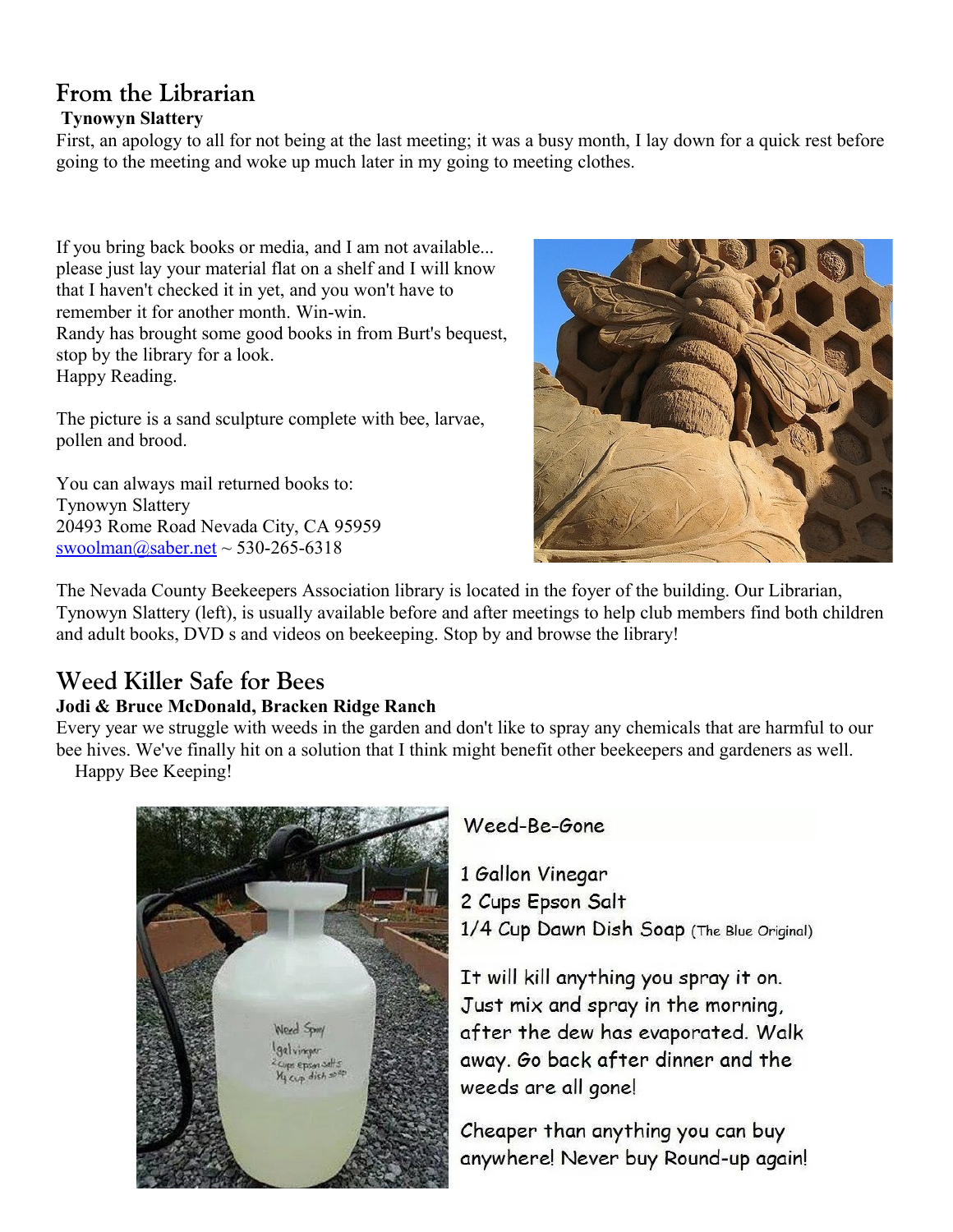## **From the Librarian Tynowyn Slattery**

First, an apology to all for not being at the last meeting; it was a busy month, I lay down for a quick rest before going to the meeting and woke up much later in my going to meeting clothes.

If you bring back books or media, and I am not available... please just lay your material flat on a shelf and I will know that I haven't checked it in yet, and you won't have to remember it for another month. Win-win. Randy has brought some good books in from Burt's bequest, stop by the library for a look. Happy Reading.

The picture is a sand sculpture complete with bee, larvae, pollen and brood.

You can always mail returned books to: Tynowyn Slattery 20493 Rome Road Nevada City, CA 95959 [swoolman@saber.net](mailto:swoolman@saber.net) ~ 530-265-6318



The Nevada County Beekeepers Association library is located in the foyer of the building. Our Librarian, Tynowyn Slattery (left), is usually available before and after meetings to help club members find both children and adult books, DVD s and videos on beekeeping. Stop by and browse the library!

# **Weed Killer Safe for Bees**

### **Jodi & Bruce McDonald, Bracken Ridge Ranch**

Every year we struggle with weeds in the garden and don't like to spray any chemicals that are harmful to our bee hives. We've finally hit on a solution that I think might benefit other beekeepers and gardeners as well. Happy Bee Keeping!



## Weed-Be-Gone

1 Gallon Vinegar 2 Cups Epson Salt 1/4 Cup Dawn Dish Soap (The Blue Original)

It will kill anything you spray it on. Just mix and spray in the morning, after the dew has evaporated. Walk away. Go back after dinner and the weeds are all gone!

Cheaper than anything you can buy anywhere! Never buy Round-up again!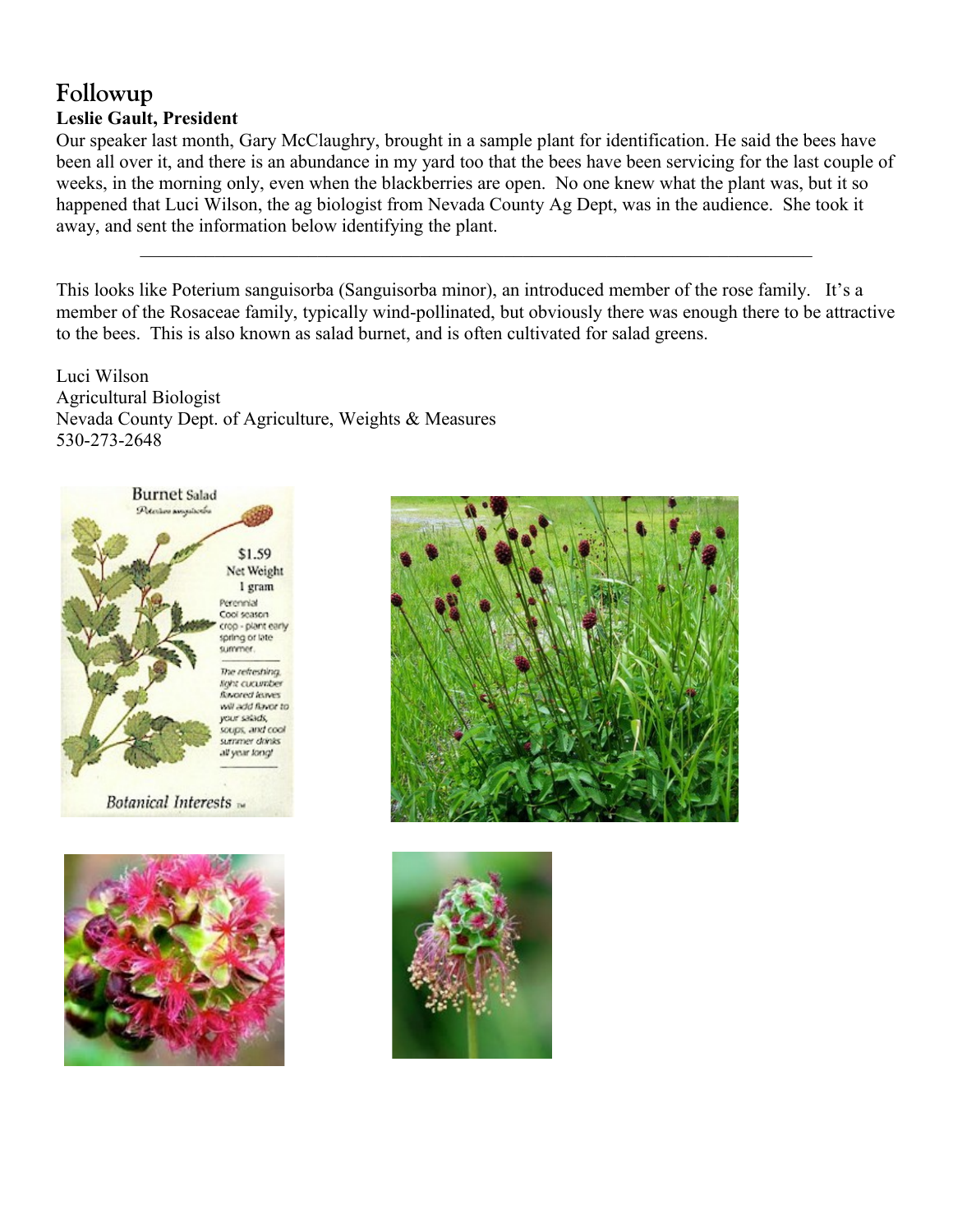## **Followup Leslie Gault, President**

Our speaker last month, Gary McClaughry, brought in a sample plant for identification. He said the bees have been all over it, and there is an abundance in my yard too that the bees have been servicing for the last couple of weeks, in the morning only, even when the blackberries are open. No one knew what the plant was, but it so happened that Luci Wilson, the ag biologist from Nevada County Ag Dept, was in the audience. She took it away, and sent the information below identifying the plant.

This looks like Poterium sanguisorba (Sanguisorba minor), an introduced member of the rose family. It's a member of the Rosaceae family, typically wind-pollinated, but obviously there was enough there to be attractive to the bees. This is also known as salad burnet, and is often cultivated for salad greens.

 $\mathcal{L}_\text{max} = \mathcal{L}_\text{max} = \mathcal{L}_\text{max} = \mathcal{L}_\text{max} = \mathcal{L}_\text{max} = \mathcal{L}_\text{max} = \mathcal{L}_\text{max} = \mathcal{L}_\text{max} = \mathcal{L}_\text{max} = \mathcal{L}_\text{max} = \mathcal{L}_\text{max} = \mathcal{L}_\text{max} = \mathcal{L}_\text{max} = \mathcal{L}_\text{max} = \mathcal{L}_\text{max} = \mathcal{L}_\text{max} = \mathcal{L}_\text{max} = \mathcal{L}_\text{max} = \mathcal{$ 

Luci Wilson Agricultural Biologist Nevada County Dept. of Agriculture, Weights & Measures 530-273-2648